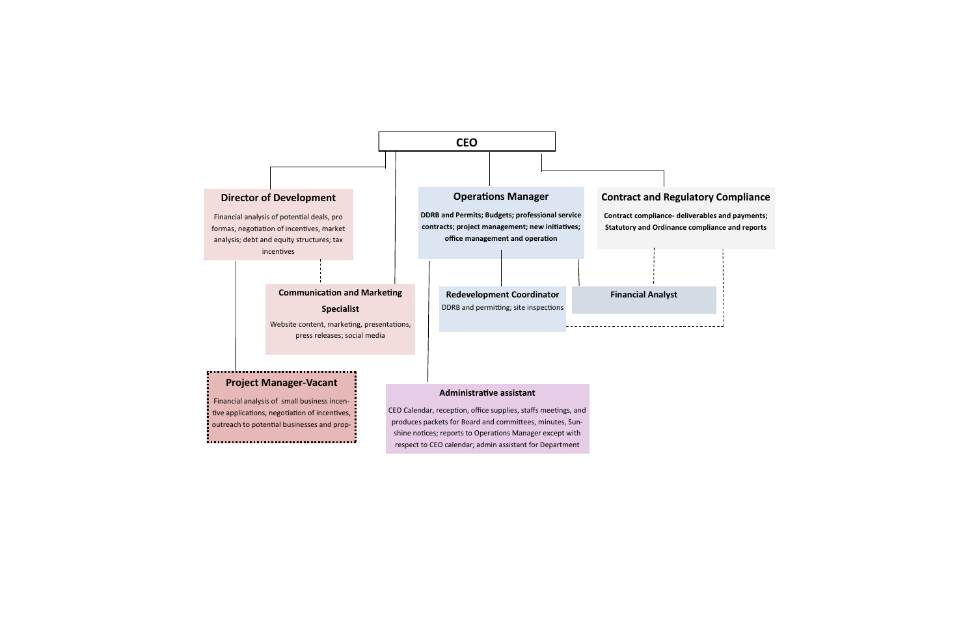